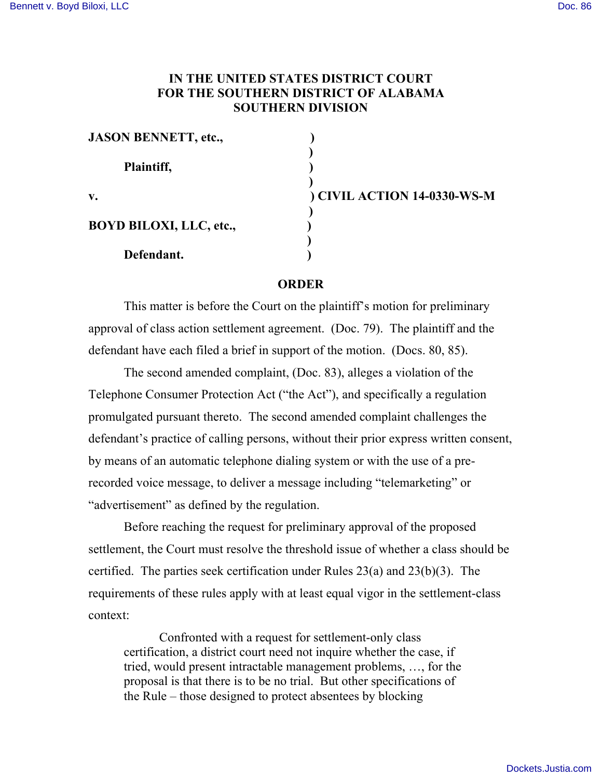## **IN THE UNITED STATES DISTRICT COURT FOR THE SOUTHERN DISTRICT OF ALABAMA SOUTHERN DIVISION**

| <b>JASON BENNETT, etc.,</b>    |            |
|--------------------------------|------------|
| Plaintiff,                     |            |
| V.                             | ) CIVIL AC |
| <b>BOYD BILOXI, LLC, etc.,</b> |            |
| Defendant.                     |            |

**v. ) CIVIL ACTION 14-0330-WS-M**

## **ORDER**

This matter is before the Court on the plaintiff's motion for preliminary approval of class action settlement agreement. (Doc. 79). The plaintiff and the defendant have each filed a brief in support of the motion. (Docs. 80, 85).

The second amended complaint, (Doc. 83), alleges a violation of the Telephone Consumer Protection Act ("the Act"), and specifically a regulation promulgated pursuant thereto. The second amended complaint challenges the defendant's practice of calling persons, without their prior express written consent, by means of an automatic telephone dialing system or with the use of a prerecorded voice message, to deliver a message including "telemarketing" or "advertisement" as defined by the regulation.

Before reaching the request for preliminary approval of the proposed settlement, the Court must resolve the threshold issue of whether a class should be certified. The parties seek certification under Rules 23(a) and 23(b)(3). The requirements of these rules apply with at least equal vigor in the settlement-class context:

Confronted with a request for settlement-only class certification, a district court need not inquire whether the case, if tried, would present intractable management problems, …, for the proposal is that there is to be no trial. But other specifications of the Rule – those designed to protect absentees by blocking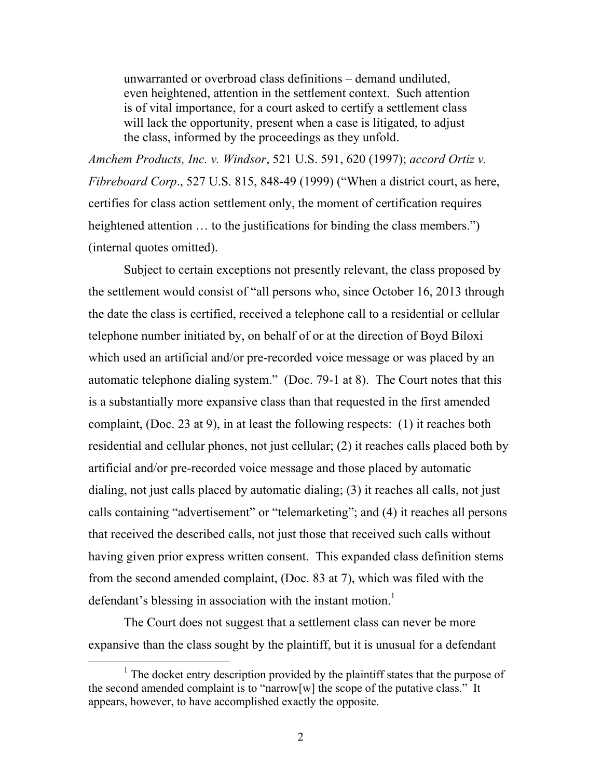unwarranted or overbroad class definitions – demand undiluted, even heightened, attention in the settlement context. Such attention is of vital importance, for a court asked to certify a settlement class will lack the opportunity, present when a case is litigated, to adjust the class, informed by the proceedings as they unfold.

*Amchem Products, Inc. v. Windsor*, 521 U.S. 591, 620 (1997); *accord Ortiz v. Fibreboard Corp*., 527 U.S. 815, 848-49 (1999) ("When a district court, as here, certifies for class action settlement only, the moment of certification requires heightened attention ... to the justifications for binding the class members.") (internal quotes omitted).

Subject to certain exceptions not presently relevant, the class proposed by the settlement would consist of "all persons who, since October 16, 2013 through the date the class is certified, received a telephone call to a residential or cellular telephone number initiated by, on behalf of or at the direction of Boyd Biloxi which used an artificial and/or pre-recorded voice message or was placed by an automatic telephone dialing system." (Doc. 79-1 at 8). The Court notes that this is a substantially more expansive class than that requested in the first amended complaint, (Doc. 23 at 9), in at least the following respects: (1) it reaches both residential and cellular phones, not just cellular; (2) it reaches calls placed both by artificial and/or pre-recorded voice message and those placed by automatic dialing, not just calls placed by automatic dialing; (3) it reaches all calls, not just calls containing "advertisement" or "telemarketing"; and (4) it reaches all persons that received the described calls, not just those that received such calls without having given prior express written consent. This expanded class definition stems from the second amended complaint, (Doc. 83 at 7), which was filed with the defendant's blessing in association with the instant motion.<sup>1</sup>

The Court does not suggest that a settlement class can never be more expansive than the class sought by the plaintiff, but it is unusual for a defendant

 $<sup>1</sup>$  The docket entry description provided by the plaintiff states that the purpose of</sup> the second amended complaint is to "narrow[w] the scope of the putative class." It appears, however, to have accomplished exactly the opposite.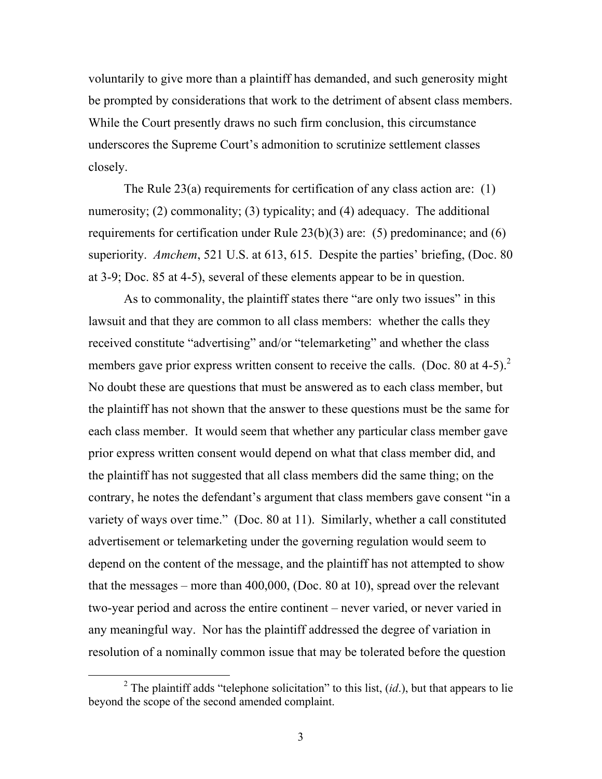voluntarily to give more than a plaintiff has demanded, and such generosity might be prompted by considerations that work to the detriment of absent class members. While the Court presently draws no such firm conclusion, this circumstance underscores the Supreme Court's admonition to scrutinize settlement classes closely.

The Rule 23(a) requirements for certification of any class action are: (1) numerosity; (2) commonality; (3) typicality; and (4) adequacy. The additional requirements for certification under Rule 23(b)(3) are: (5) predominance; and (6) superiority. *Amchem*, 521 U.S. at 613, 615. Despite the parties' briefing, (Doc. 80 at 3-9; Doc. 85 at 4-5), several of these elements appear to be in question.

As to commonality, the plaintiff states there "are only two issues" in this lawsuit and that they are common to all class members: whether the calls they received constitute "advertising" and/or "telemarketing" and whether the class members gave prior express written consent to receive the calls. (Doc. 80 at 4-5).<sup>2</sup> No doubt these are questions that must be answered as to each class member, but the plaintiff has not shown that the answer to these questions must be the same for each class member. It would seem that whether any particular class member gave prior express written consent would depend on what that class member did, and the plaintiff has not suggested that all class members did the same thing; on the contrary, he notes the defendant's argument that class members gave consent "in a variety of ways over time." (Doc. 80 at 11). Similarly, whether a call constituted advertisement or telemarketing under the governing regulation would seem to depend on the content of the message, and the plaintiff has not attempted to show that the messages – more than 400,000, (Doc. 80 at 10), spread over the relevant two-year period and across the entire continent – never varied, or never varied in any meaningful way. Nor has the plaintiff addressed the degree of variation in resolution of a nominally common issue that may be tolerated before the question

<sup>&</sup>lt;sup>2</sup> The plaintiff adds "telephone solicitation" to this list,  $(id)$ , but that appears to lie beyond the scope of the second amended complaint.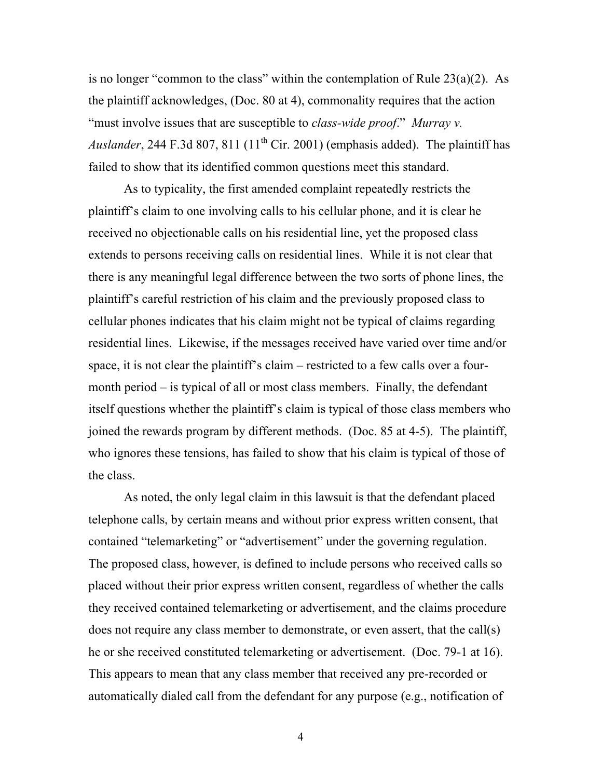is no longer "common to the class" within the contemplation of Rule  $23(a)(2)$ . As the plaintiff acknowledges, (Doc. 80 at 4), commonality requires that the action "must involve issues that are susceptible to *class-wide proof*." *Murray v. Auslander*, 244 F.3d 807, 811  $(11<sup>th</sup> Cir. 2001)$  (emphasis added). The plaintiff has failed to show that its identified common questions meet this standard.

As to typicality, the first amended complaint repeatedly restricts the plaintiff's claim to one involving calls to his cellular phone, and it is clear he received no objectionable calls on his residential line, yet the proposed class extends to persons receiving calls on residential lines. While it is not clear that there is any meaningful legal difference between the two sorts of phone lines, the plaintiff's careful restriction of his claim and the previously proposed class to cellular phones indicates that his claim might not be typical of claims regarding residential lines. Likewise, if the messages received have varied over time and/or space, it is not clear the plaintiff's claim – restricted to a few calls over a fourmonth period – is typical of all or most class members. Finally, the defendant itself questions whether the plaintiff's claim is typical of those class members who joined the rewards program by different methods. (Doc. 85 at 4-5). The plaintiff, who ignores these tensions, has failed to show that his claim is typical of those of the class.

As noted, the only legal claim in this lawsuit is that the defendant placed telephone calls, by certain means and without prior express written consent, that contained "telemarketing" or "advertisement" under the governing regulation. The proposed class, however, is defined to include persons who received calls so placed without their prior express written consent, regardless of whether the calls they received contained telemarketing or advertisement, and the claims procedure does not require any class member to demonstrate, or even assert, that the call(s) he or she received constituted telemarketing or advertisement. (Doc. 79-1 at 16). This appears to mean that any class member that received any pre-recorded or automatically dialed call from the defendant for any purpose (e.g., notification of

4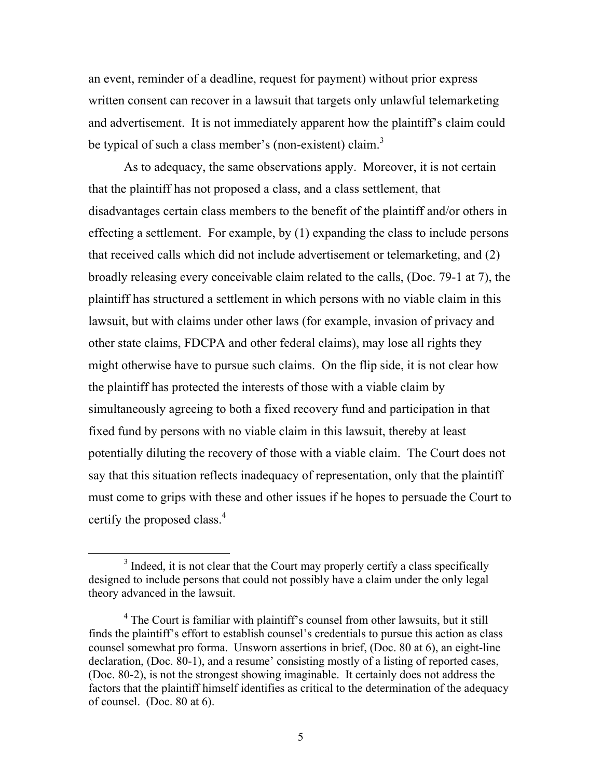an event, reminder of a deadline, request for payment) without prior express written consent can recover in a lawsuit that targets only unlawful telemarketing and advertisement. It is not immediately apparent how the plaintiff's claim could be typical of such a class member's (non-existent) claim.<sup>3</sup>

As to adequacy, the same observations apply. Moreover, it is not certain that the plaintiff has not proposed a class, and a class settlement, that disadvantages certain class members to the benefit of the plaintiff and/or others in effecting a settlement. For example, by (1) expanding the class to include persons that received calls which did not include advertisement or telemarketing, and (2) broadly releasing every conceivable claim related to the calls, (Doc. 79-1 at 7), the plaintiff has structured a settlement in which persons with no viable claim in this lawsuit, but with claims under other laws (for example, invasion of privacy and other state claims, FDCPA and other federal claims), may lose all rights they might otherwise have to pursue such claims. On the flip side, it is not clear how the plaintiff has protected the interests of those with a viable claim by simultaneously agreeing to both a fixed recovery fund and participation in that fixed fund by persons with no viable claim in this lawsuit, thereby at least potentially diluting the recovery of those with a viable claim. The Court does not say that this situation reflects inadequacy of representation, only that the plaintiff must come to grips with these and other issues if he hopes to persuade the Court to certify the proposed class.<sup>4</sup>

<sup>&</sup>lt;sup>3</sup> Indeed, it is not clear that the Court may properly certify a class specifically designed to include persons that could not possibly have a claim under the only legal theory advanced in the lawsuit.

<sup>&</sup>lt;sup>4</sup> The Court is familiar with plaintiff's counsel from other lawsuits, but it still finds the plaintiff's effort to establish counsel's credentials to pursue this action as class counsel somewhat pro forma. Unsworn assertions in brief, (Doc. 80 at 6), an eight-line declaration, (Doc. 80-1), and a resume' consisting mostly of a listing of reported cases, (Doc. 80-2), is not the strongest showing imaginable. It certainly does not address the factors that the plaintiff himself identifies as critical to the determination of the adequacy of counsel. (Doc. 80 at 6).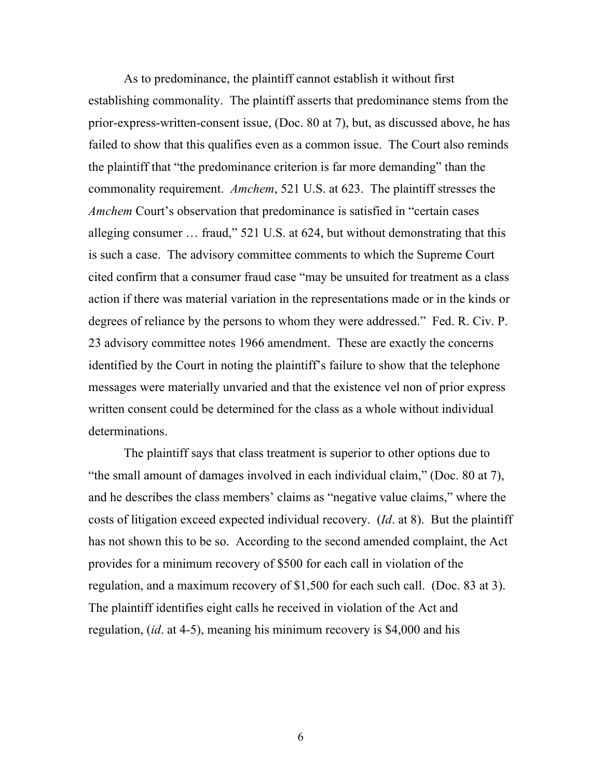As to predominance, the plaintiff cannot establish it without first establishing commonality. The plaintiff asserts that predominance stems from the prior-express-written-consent issue, (Doc. 80 at 7), but, as discussed above, he has failed to show that this qualifies even as a common issue. The Court also reminds the plaintiff that "the predominance criterion is far more demanding" than the commonality requirement. *Amchem*, 521 U.S. at 623. The plaintiff stresses the *Amchem* Court's observation that predominance is satisfied in "certain cases alleging consumer … fraud," 521 U.S. at 624, but without demonstrating that this is such a case. The advisory committee comments to which the Supreme Court cited confirm that a consumer fraud case "may be unsuited for treatment as a class action if there was material variation in the representations made or in the kinds or degrees of reliance by the persons to whom they were addressed." Fed. R. Civ. P. 23 advisory committee notes 1966 amendment. These are exactly the concerns identified by the Court in noting the plaintiff's failure to show that the telephone messages were materially unvaried and that the existence vel non of prior express written consent could be determined for the class as a whole without individual determinations.

The plaintiff says that class treatment is superior to other options due to "the small amount of damages involved in each individual claim," (Doc. 80 at 7), and he describes the class members' claims as "negative value claims," where the costs of litigation exceed expected individual recovery. (*Id*. at 8). But the plaintiff has not shown this to be so. According to the second amended complaint, the Act provides for a minimum recovery of \$500 for each call in violation of the regulation, and a maximum recovery of \$1,500 for each such call. (Doc. 83 at 3). The plaintiff identifies eight calls he received in violation of the Act and regulation, (*id*. at 4-5), meaning his minimum recovery is \$4,000 and his

6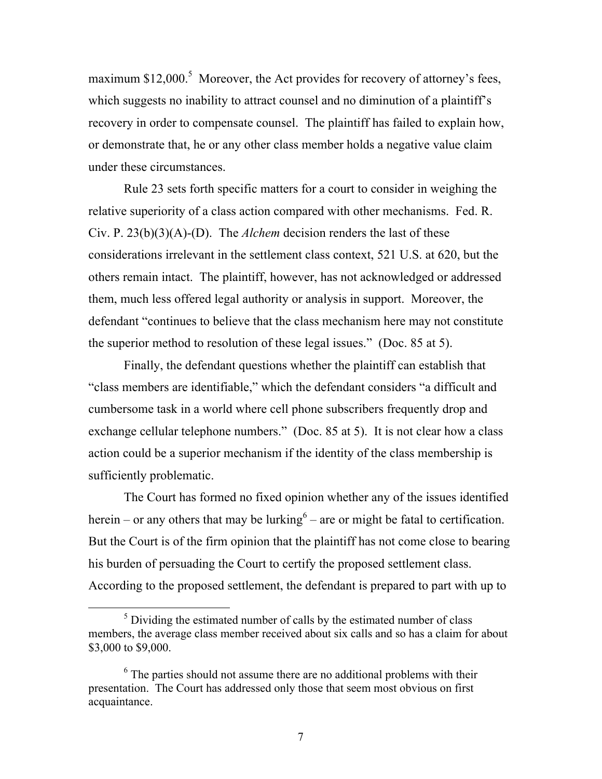maximum  $$12,000$ .<sup>5</sup> Moreover, the Act provides for recovery of attorney's fees, which suggests no inability to attract counsel and no diminution of a plaintiff's recovery in order to compensate counsel. The plaintiff has failed to explain how, or demonstrate that, he or any other class member holds a negative value claim under these circumstances.

Rule 23 sets forth specific matters for a court to consider in weighing the relative superiority of a class action compared with other mechanisms. Fed. R. Civ. P. 23(b)(3)(A)-(D). The *Alchem* decision renders the last of these considerations irrelevant in the settlement class context, 521 U.S. at 620, but the others remain intact. The plaintiff, however, has not acknowledged or addressed them, much less offered legal authority or analysis in support. Moreover, the defendant "continues to believe that the class mechanism here may not constitute the superior method to resolution of these legal issues." (Doc. 85 at 5).

Finally, the defendant questions whether the plaintiff can establish that "class members are identifiable," which the defendant considers "a difficult and cumbersome task in a world where cell phone subscribers frequently drop and exchange cellular telephone numbers." (Doc. 85 at 5). It is not clear how a class action could be a superior mechanism if the identity of the class membership is sufficiently problematic.

The Court has formed no fixed opinion whether any of the issues identified herein – or any others that may be lurking<sup> $6$ </sup> – are or might be fatal to certification. But the Court is of the firm opinion that the plaintiff has not come close to bearing his burden of persuading the Court to certify the proposed settlement class. According to the proposed settlement, the defendant is prepared to part with up to

 $<sup>5</sup>$  Dividing the estimated number of calls by the estimated number of class</sup> members, the average class member received about six calls and so has a claim for about \$3,000 to \$9,000.

 $6$  The parties should not assume there are no additional problems with their presentation. The Court has addressed only those that seem most obvious on first acquaintance.